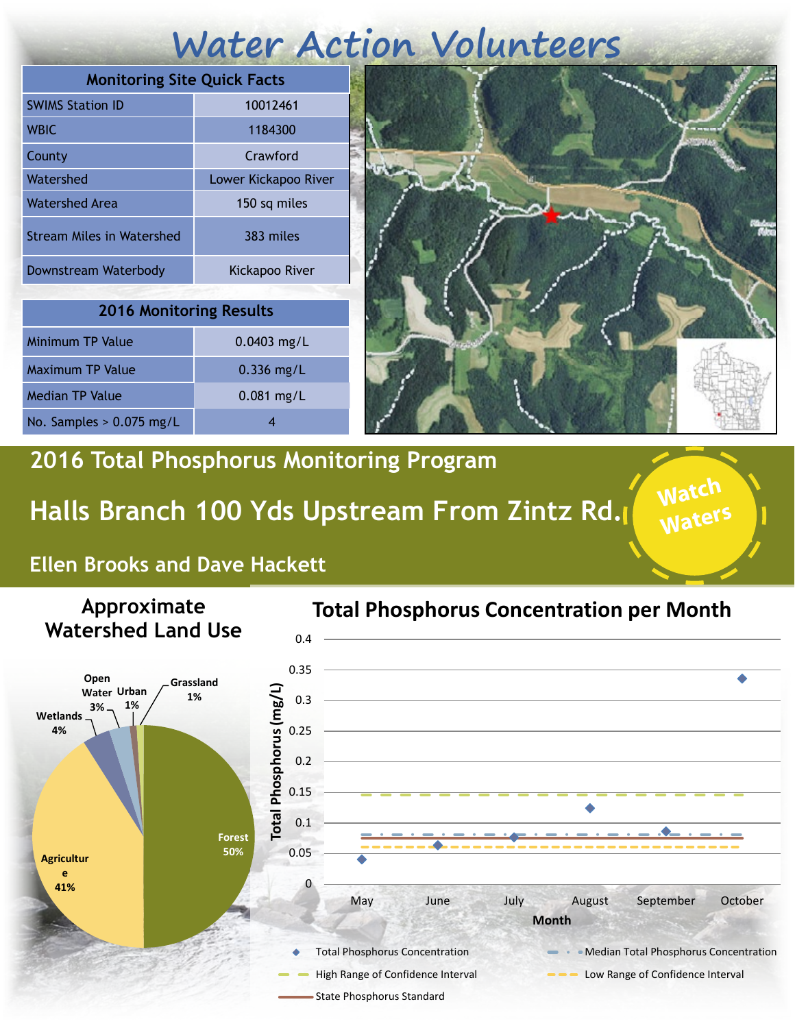# **Water Action Volunteers**

| <b>Monitoring Site Quick Facts</b> |                      |
|------------------------------------|----------------------|
| <b>SWIMS Station ID</b>            | 10012461             |
| <b>WBIC</b>                        | 1184300              |
| County                             | Crawford             |
| Watershed                          | Lower Kickapoo River |
| Watershed Area                     | 150 sq miles         |
| <b>Stream Miles in Watershed</b>   | 383 miles            |
| Downstream Waterbody               | Kickapoo River       |

| <b>2016 Monitoring Results</b> |               |  |
|--------------------------------|---------------|--|
| <b>Minimum TP Value</b>        | $0.0403$ mg/L |  |
| Maximum TP Value               | $0.336$ mg/L  |  |
| <b>Median TP Value</b>         | $0.081$ mg/L  |  |
| No. Samples $> 0.075$ mg/L     |               |  |



**Watch** 

**Waters**

### **2016 Total Phosphorus Monitoring Program**

## **Halls Branch 100 Yds Upstream From Zintz Rd.**

#### **Ellen Brooks and Dave Hackett**